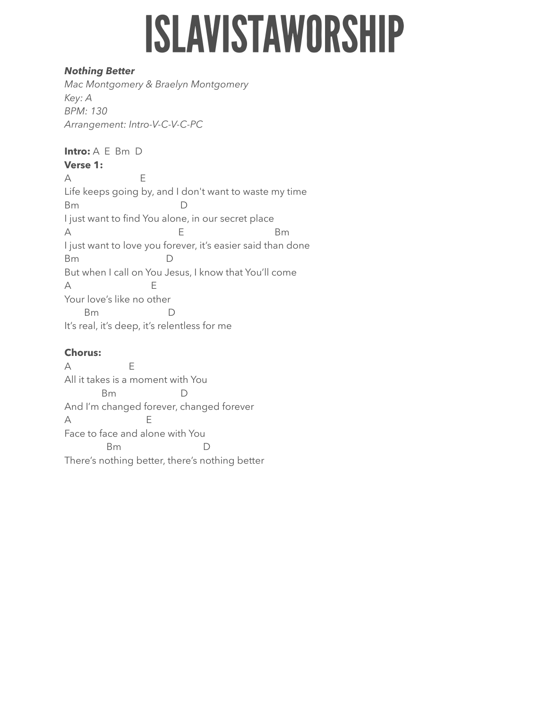# **ISLAVISTAWORSHIP**

## *Nothing Better*

*Mac Montgomery & Braelyn Montgomery Key: A BPM: 130 Arrangement: Intro-V-C-V-C-PC* 

**Intro:** A E Bm D **Verse 1:** 

A E Life keeps going by, and I don't want to waste my time Bm D I just want to find You alone, in our secret place A Bm I just want to love you forever, it's easier said than done Bm D But when I call on You Jesus, I know that You'll come A E Your love's like no other Bm D It's real, it's deep, it's relentless for me

# **Chorus:**

A E All it takes is a moment with You Bm D And I'm changed forever, changed forever A E Face to face and alone with You Bm D There's nothing better, there's nothing better